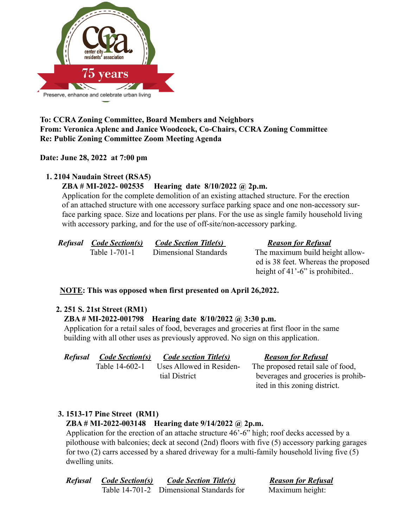

## **To: CCRA Zoning Committee, Board Members and Neighbors From: Veronica Aplenc and Janice Woodcock, Co-Chairs, CCRA Zoning Committee Re: Public Zoning Committee Zoom Meeting Agenda**

## **Date: June 28, 2022 at 7:00 pm**

### **1. 2104 Naudain Street (RSA5)**

## **ZBA # MI-2022- 002535 Hearing date 8/10/2022 @ 2p.m.**

Application for the complete demolition of an existing attached structure. For the erection of an attached structure with one accessory surface parking space and one non-accessory surface parking space. Size and locations per plans. For the use as single family household living with accessory parking, and for the use of off-site/non-accessory parking.

| <b>Refusal Code Section(s)</b> | <b>Code Section Title(s)</b> | <b>Reason for Refusal</b>           |
|--------------------------------|------------------------------|-------------------------------------|
| Table 1-701-1                  | Dimensional Standards        | The maximum build height allow-     |
|                                |                              | ed is 38 feet. Whereas the proposed |

### **NOTE: This was opposed when first presented on April 26,2022.**

### **2. 251 S. 21st Street (RM1)**

### **ZBA # MI-2022-001798 Hearing date 8/10/2022 @ 3:30 p.m.**

Application for a retail sales of food, beverages and groceries at first floor in the same building with all other uses as previously approved. No sign on this application.

*Refusal Code Section(s) Code section Title(s) Reason for Refusal*

height of 41'-6" is prohibited..

Table 14-602-1 Uses Allowed in Residen- The proposed retail sale of food, tial District beverages and groceries is prohibited in this zoning district.

# **3. 1513-17 Pine Street (RM1)**

### **ZBA # MI-2022-003148 Hearing date 9/14/2022 @ 2p.m.**

Application for the erection of an attache structure 46'-6" high; roof decks accessed by a pilothouse with balconies; deck at second (2nd) floors with five (5) accessory parking garages for two (2) carrs accessed by a shared driveway for a multi-family household living five (5) dwelling units.

| <b>Refusal</b> | Code Section(s) | <b>Code Section Title(s)</b>             | <b>Reason for Refusal</b> |
|----------------|-----------------|------------------------------------------|---------------------------|
|                |                 | Table 14-701-2 Dimensional Standards for | Maximum height:           |